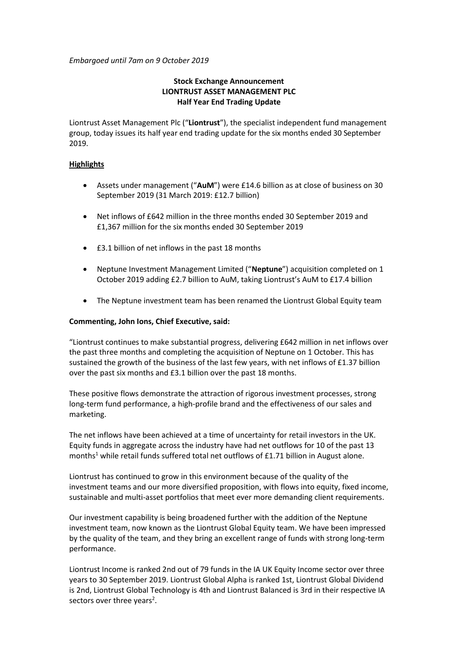*Embargoed until 7am on 9 October 2019*

# **Stock Exchange Announcement LIONTRUST ASSET MANAGEMENT PLC Half Year End Trading Update**

Liontrust Asset Management Plc ("**Liontrust**"), the specialist independent fund management group, today issues its half year end trading update for the six months ended 30 September 2019.

### **Highlights**

- Assets under management ("**AuM**") were £14.6 billion as at close of business on 30 September 2019 (31 March 2019: £12.7 billion)
- Net inflows of £642 million in the three months ended 30 September 2019 and £1,367 million for the six months ended 30 September 2019
- £3.1 billion of net inflows in the past 18 months
- Neptune Investment Management Limited ("**Neptune**") acquisition completed on 1 October 2019 adding £2.7 billion to AuM, taking Liontrust's AuM to £17.4 billion
- The Neptune investment team has been renamed the Liontrust Global Equity team

# **Commenting, John Ions, Chief Executive, said:**

"Liontrust continues to make substantial progress, delivering £642 million in net inflows over the past three months and completing the acquisition of Neptune on 1 October. This has sustained the growth of the business of the last few years, with net inflows of £1.37 billion over the past six months and £3.1 billion over the past 18 months.

These positive flows demonstrate the attraction of rigorous investment processes, strong long-term fund performance, a high-profile brand and the effectiveness of our sales and marketing.

The net inflows have been achieved at a time of uncertainty for retail investors in the UK. Equity funds in aggregate across the industry have had net outflows for 10 of the past 13 months<sup>1</sup> while retail funds suffered total net outflows of £1.71 billion in August alone.

Liontrust has continued to grow in this environment because of the quality of the investment teams and our more diversified proposition, with flows into equity, fixed income, sustainable and multi-asset portfolios that meet ever more demanding client requirements.

Our investment capability is being broadened further with the addition of the Neptune investment team, now known as the Liontrust Global Equity team. We have been impressed by the quality of the team, and they bring an excellent range of funds with strong long-term performance.

Liontrust Income is ranked 2nd out of 79 funds in the IA UK Equity Income sector over three years to 30 September 2019. Liontrust Global Alpha is ranked 1st, Liontrust Global Dividend is 2nd, Liontrust Global Technology is 4th and Liontrust Balanced is 3rd in their respective IA sectors over three years<sup>2</sup>.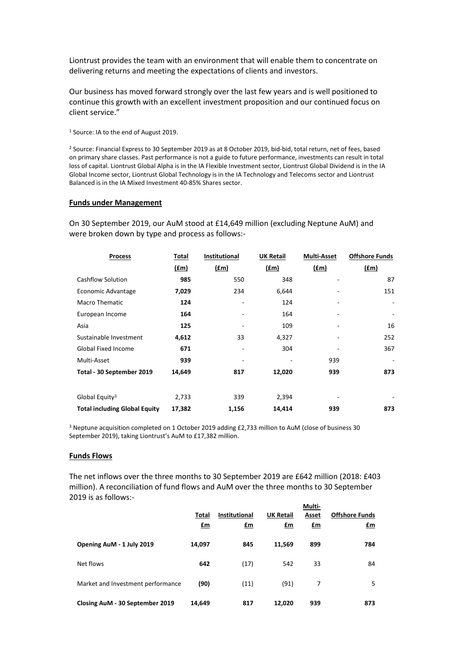Liontrust provides the team with an environment that will enable them to concentrate on delivering returns and meeting the expectations of clients and investors.

Our business has moved forward strongly over the last few years and is well positioned to continue this growth with an excellent investment proposition and our continued focus on client service."

<sup>1</sup> Source: IA to the end of August 2019.

<sup>2</sup> Source: Financial Express to 30 September 2019 as at 8 October 2019, bid-bid, total return, net of fees, based on primary share classes. Past performance is not a guide to future performance, investments can result in total loss of capital. Liontrust Global Alpha is in the IA Flexible Investment sector, Liontrust Global Dividend is in the IA Global Income sector, Liontrust Global Technology is in the IA Technology and Telecoms sector and Liontrust Balanced is in the IA Mixed Investment 40-85% Shares sector.

#### **Funds under Management**

On 30 September 2019, our AuM stood at £14,649 million (excluding Neptune AuM) and were broken down by type and process as follows:-

| <b>Process</b>                       | Total         | Institutional | <b>UK Retail</b> | <b>Multi-Asset</b> | <b>Offshore Funds</b> |
|--------------------------------------|---------------|---------------|------------------|--------------------|-----------------------|
|                                      | $(\text{fm})$ | $(\text{fm})$ | <u>(£m)</u>      | $(\text{fm})$      | (fm)                  |
| <b>Cashflow Solution</b>             | 985           | 550           | 348              |                    | 87                    |
| Economic Advantage                   | 7,029         | 234           | 6,644            |                    | 151                   |
| <b>Macro Thematic</b>                | 124           |               | 124              |                    | ۰                     |
| European Income                      | 164           |               | 164              |                    |                       |
| Asia                                 | 125           |               | 109              |                    | 16                    |
| Sustainable Investment               | 4,612         | 33            | 4,327            |                    | 252                   |
| <b>Global Fixed Income</b>           | 671           |               | 304              |                    | 367                   |
| Multi-Asset                          | 939           |               |                  | 939                |                       |
| Total - 30 September 2019            | 14,649        | 817           | 12,020           | 939                | 873                   |
|                                      |               |               |                  |                    |                       |
| Global Equity <sup>3</sup>           | 2,733         | 339           | 2,394            |                    |                       |
| <b>Total including Global Equity</b> | 17,382        | 1,156         | 14,414           | 939                | 873                   |

<sup>3</sup> Neptune acquisition completed on 1 October 2019 adding £2,733 million to AuM (close of business 30 September 2019), taking Liontrust's AuM to £17,382 million.

#### **Funds Flows**

The net inflows over the three months to 30 September 2019 are £642 million (2018: £403 million). A reconciliation of fund flows and AuM over the three months to 30 September 2019 is as follows:- **Multi-**

|                                   |                |                      |                  | Multi-       |                       |
|-----------------------------------|----------------|----------------------|------------------|--------------|-----------------------|
|                                   | Total          | <b>Institutional</b> | <b>UK Retail</b> | Asset        | <b>Offshore Funds</b> |
|                                   | $\mathbf{f}$ m | £m                   | <u>£m</u>        | $\mathbf{f}$ | <u>£m</u>             |
| Opening AuM - 1 July 2019         | 14,097         | 845                  | 11,569           | 899          | 784                   |
| Net flows                         | 642            | (17)                 | 542              | 33           | 84                    |
| Market and Investment performance | (90)           | (11)                 | (91)             | 7            | 5                     |
| Closing AuM - 30 September 2019   | 14,649         | 817                  | 12.020           | 939          | 873                   |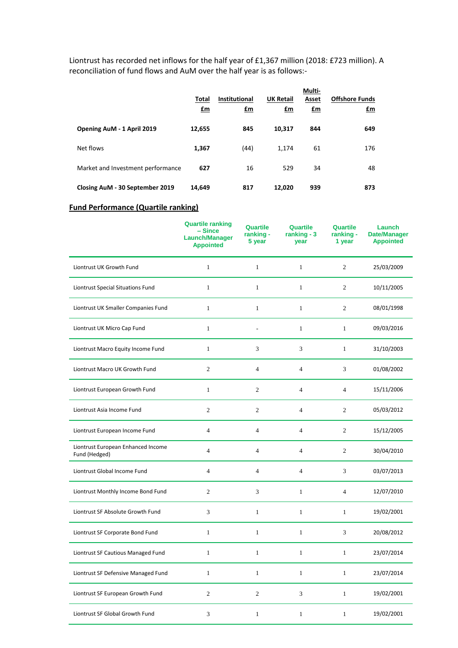Liontrust has recorded net inflows for the half year of £1,367 million (2018: £723 million). A reconciliation of fund flows and AuM over the half year is as follows:-

|                                   | Total<br>$fm$ | <b>Institutional</b><br>£m | <b>UK Retail</b><br>$\mathbf{f}$ m | Multi-<br>Asset<br>$fm$ | <b>Offshore Funds</b><br><u>£m</u> |
|-----------------------------------|---------------|----------------------------|------------------------------------|-------------------------|------------------------------------|
| Opening AuM - 1 April 2019        | 12,655        | 845                        | 10,317                             | 844                     | 649                                |
| Net flows                         | 1,367         | (44)                       | 1.174                              | 61                      | 176                                |
| Market and Investment performance | 627           | 16                         | 529                                | 34                      | 48                                 |
| Closing AuM - 30 September 2019   | 14,649        | 817                        | 12,020                             | 939                     | 873                                |

### **Fund Performance (Quartile ranking)**

|                                                     | <b>Quartile ranking</b><br>- Since<br><b>Launch/Manager</b><br><b>Appointed</b> | Quartile<br>ranking -<br>5 year | Quartile<br>ranking $-3$<br>year | Quartile<br>ranking -<br>1 year | Launch<br><b>Date/Manager</b><br><b>Appointed</b> |
|-----------------------------------------------------|---------------------------------------------------------------------------------|---------------------------------|----------------------------------|---------------------------------|---------------------------------------------------|
| Liontrust UK Growth Fund                            | $\mathbf{1}$                                                                    | $\mathbf{1}$                    | $\mathbf{1}$                     | $\overline{2}$                  | 25/03/2009                                        |
| Liontrust Special Situations Fund                   | $\mathbf{1}$                                                                    | $\mathbf{1}$                    | $\mathbf{1}$                     | $\mathbf{2}$                    | 10/11/2005                                        |
| Liontrust UK Smaller Companies Fund                 | $\mathbf{1}$                                                                    | $\mathbf{1}$                    | $\mathbf{1}$                     | $\mathfrak{2}$                  | 08/01/1998                                        |
| Liontrust UK Micro Cap Fund                         | $\mathbf{1}$                                                                    | L,                              | $\mathbf{1}$                     | $\mathbf{1}$                    | 09/03/2016                                        |
| Liontrust Macro Equity Income Fund                  | $\mathbf{1}$                                                                    | 3                               | 3                                | $\mathbf{1}$                    | 31/10/2003                                        |
| Liontrust Macro UK Growth Fund                      | $\mathfrak{2}$                                                                  | $\overline{4}$                  | $\overline{4}$                   | 3                               | 01/08/2002                                        |
| Liontrust European Growth Fund                      | $\mathbf{1}$                                                                    | $\overline{2}$                  | $\overline{4}$                   | $\overline{4}$                  | 15/11/2006                                        |
| Liontrust Asia Income Fund                          | $\overline{c}$                                                                  | $\overline{2}$                  | $\overline{4}$                   | $\overline{2}$                  | 05/03/2012                                        |
| Liontrust European Income Fund                      | $\overline{4}$                                                                  | $\overline{4}$                  | $\overline{4}$                   | $\mathfrak{2}$                  | 15/12/2005                                        |
| Liontrust European Enhanced Income<br>Fund (Hedged) | $\overline{4}$                                                                  | $\overline{4}$                  | $\overline{4}$                   | $\mathfrak{2}$                  | 30/04/2010                                        |
| Liontrust Global Income Fund                        | $\overline{4}$                                                                  | $\overline{4}$                  | $\overline{4}$                   | 3                               | 03/07/2013                                        |
| Liontrust Monthly Income Bond Fund                  | $\overline{c}$                                                                  | 3                               | $1\,$                            | $\overline{4}$                  | 12/07/2010                                        |
| Liontrust SF Absolute Growth Fund                   | 3                                                                               | $\mathbf{1}$                    | $\mathbf{1}$                     | $\mathbf{1}$                    | 19/02/2001                                        |
| Liontrust SF Corporate Bond Fund                    | $\mathbf{1}$                                                                    | $\mathbf{1}$                    | $1\,$                            | 3                               | 20/08/2012                                        |
| Liontrust SF Cautious Managed Fund                  | $\mathbf{1}$                                                                    | $\mathbf{1}$                    | $\mathbf{1}$                     | $\mathbf{1}$                    | 23/07/2014                                        |
| Liontrust SF Defensive Managed Fund                 | $\mathbf{1}$                                                                    | $\mathbf{1}$                    | $\mathbf{1}$                     | $\mathbf{1}$                    | 23/07/2014                                        |
| Liontrust SF European Growth Fund                   | $\mathfrak{2}$                                                                  | $\overline{2}$                  | 3                                | $\mathbf{1}$                    | 19/02/2001                                        |
| Liontrust SF Global Growth Fund                     | 3                                                                               | $\mathbf{1}$                    | $\mathbf{1}$                     | $\mathbf{1}$                    | 19/02/2001                                        |